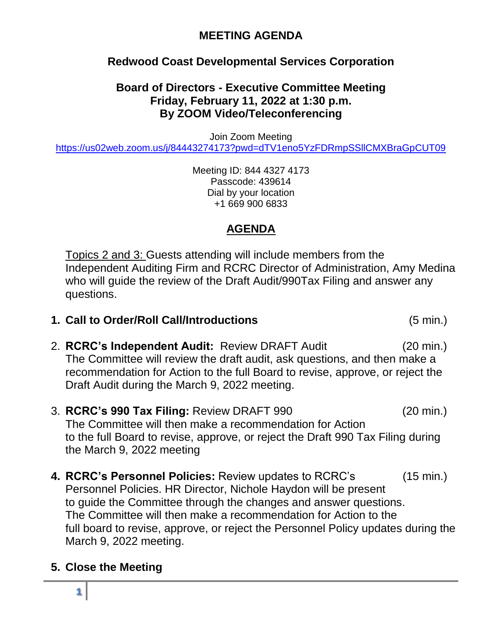## **MEETING AGENDA**

# **Redwood Coast Developmental Services Corporation**

#### **Board of Directors - Executive Committee Meeting Friday, February 11, 2022 at 1:30 p.m. By ZOOM Video/Teleconferencing**

Join Zoom Meeting

<https://us02web.zoom.us/j/84443274173?pwd=dTV1eno5YzFDRmpSSllCMXBraGpCUT09>

Meeting ID: 844 4327 4173 Passcode: 439614 Dial by your location +1 669 900 6833

## **AGENDA**

Topics 2 and 3: Guests attending will include members from the Independent Auditing Firm and RCRC Director of Administration, Amy Medina who will guide the review of the Draft Audit/990Tax Filing and answer any questions.

- **1. Call to Order/Roll Call/Introductions** (5 min.)
- 2. **RCRC's Independent Audit:** Review DRAFT Audit (20 min.) The Committee will review the draft audit, ask questions, and then make a recommendation for Action to the full Board to revise, approve, or reject the Draft Audit during the March 9, 2022 meeting.
- 3. **RCRC's 990 Tax Filing:** Review DRAFT 990 (20 min.) The Committee will then make a recommendation for Action to the full Board to revise, approve, or reject the Draft 990 Tax Filing during the March 9, 2022 meeting
- **4. RCRC's Personnel Policies:** Review updates to RCRC's (15 min.) Personnel Policies. HR Director, Nichole Haydon will be present to guide the Committee through the changes and answer questions. The Committee will then make a recommendation for Action to the full board to revise, approve, or reject the Personnel Policy updates during the March 9, 2022 meeting.

## **5. Close the Meeting**